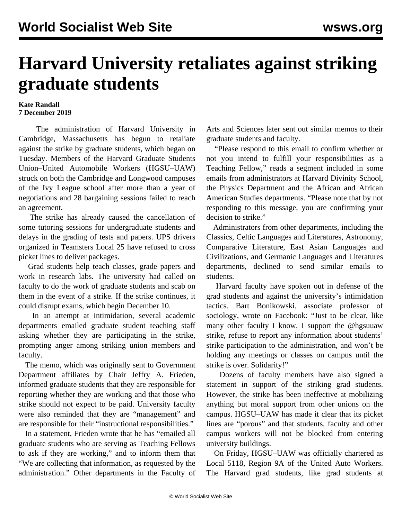## **Harvard University retaliates against striking graduate students**

## **Kate Randall 7 December 2019**

 The administration of Harvard University in Cambridge, Massachusetts has begun to retaliate against the strike by graduate students, which began on Tuesday. Members of the Harvard Graduate Students Union–United Automobile Workers (HGSU–UAW) struck on both the Cambridge and Longwood campuses of the Ivy League school after more than a year of negotiations and 28 bargaining sessions failed to reach an agreement.

 The strike has already caused the cancellation of some tutoring sessions for undergraduate students and delays in the grading of tests and papers. UPS drivers organized in Teamsters Local 25 have refused to cross picket lines to deliver packages.

 Grad students help teach classes, grade papers and work in research labs. The university had called on faculty to do the work of graduate students and scab on them in the event of a strike. If the strike continues, it could disrupt exams, which begin December 10.

 In an attempt at intimidation, several academic departments emailed graduate student teaching staff asking whether they are participating in the strike, prompting anger among striking union members and faculty.

 The memo, which was originally sent to Government Department affiliates by Chair Jeffry A. Frieden, informed graduate students that they are responsible for reporting whether they are working and that those who strike should not expect to be paid. University faculty were also reminded that they are "management" and are responsible for their "instructional responsibilities."

 In a statement, Frieden wrote that he has "emailed all graduate students who are serving as Teaching Fellows to ask if they are working," and to inform them that "We are collecting that information, as requested by the administration." Other departments in the Faculty of Arts and Sciences later sent out similar memos to their graduate students and faculty.

 "Please respond to this email to confirm whether or not you intend to fulfill your responsibilities as a Teaching Fellow," reads a segment included in some emails from administrators at Harvard Divinity School, the Physics Department and the African and African American Studies departments. "Please note that by not responding to this message, you are confirming your decision to strike."

 Administrators from other departments, including the Classics, Celtic Languages and Literatures, Astronomy, Comparative Literature, East Asian Languages and Civilizations, and Germanic Languages and Literatures departments, declined to send similar emails to students.

 Harvard faculty have spoken out in defense of the grad students and against the university's intimidation tactics. Bart Bonikowski, associate professor of sociology, wrote on Facebook: "Just to be clear, like many other faculty I know, I support the @hgsuuaw strike, refuse to report any information about students' strike participation to the administration, and won't be holding any meetings or classes on campus until the strike is over. Solidarity!"

 Dozens of faculty members have also signed a statement in support of the striking grad students. However, the strike has been ineffective at mobilizing anything but moral support from other unions on the campus. HGSU–UAW has made it clear that its picket lines are "porous" and that students, faculty and other campus workers will not be blocked from entering university buildings.

 On Friday, HGSU–UAW was officially chartered as Local 5118, Region 9A of the United Auto Workers. The Harvard grad students, like grad students at